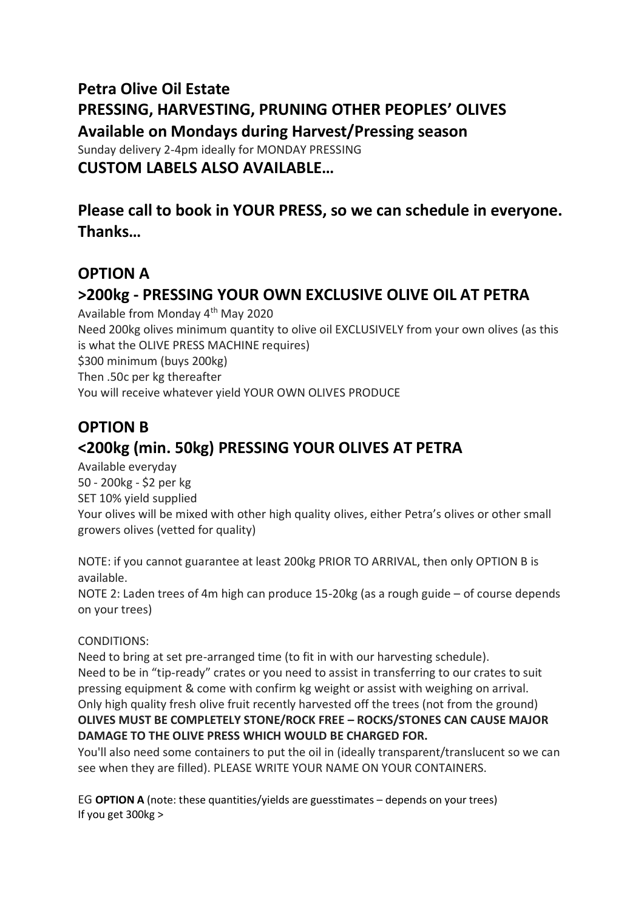## **Petra Olive Oil Estate PRESSING, HARVESTING, PRUNING OTHER PEOPLES' OLIVES Available on Mondays during Harvest/Pressing season** Sunday delivery 2-4pm ideally for MONDAY PRESSING **CUSTOM LABELS ALSO AVAILABLE…**

**Please call to book in YOUR PRESS, so we can schedule in everyone. Thanks…**

## **OPTION A**

# **>200kg - PRESSING YOUR OWN EXCLUSIVE OLIVE OIL AT PETRA**

Available from Monday 4th May 2020 Need 200kg olives minimum quantity to olive oil EXCLUSIVELY from your own olives (as this is what the OLIVE PRESS MACHINE requires) \$300 minimum (buys 200kg) Then .50c per kg thereafter You will receive whatever yield YOUR OWN OLIVES PRODUCE

# **OPTION B <200kg (min. 50kg) PRESSING YOUR OLIVES AT PETRA**

Available everyday 50 - 200kg - \$2 per kg SET 10% yield supplied Your olives will be mixed with other high quality olives, either Petra's olives or other small growers olives (vetted for quality)

NOTE: if you cannot guarantee at least 200kg PRIOR TO ARRIVAL, then only OPTION B is available.

NOTE 2: Laden trees of 4m high can produce 15-20kg (as a rough guide – of course depends on your trees)

#### CONDITIONS:

Need to bring at set pre-arranged time (to fit in with our harvesting schedule). Need to be in "tip-ready" crates or you need to assist in transferring to our crates to suit pressing equipment & come with confirm kg weight or assist with weighing on arrival. Only high quality fresh olive fruit recently harvested off the trees (not from the ground) **OLIVES MUST BE COMPLETELY STONE/ROCK FREE – ROCKS/STONES CAN CAUSE MAJOR DAMAGE TO THE OLIVE PRESS WHICH WOULD BE CHARGED FOR.**

You'll also need some containers to put the oil in (ideally transparent/translucent so we can see when they are filled). PLEASE WRITE YOUR NAME ON YOUR CONTAINERS.

EG **OPTION A** (note: these quantities/yields are guesstimates – depends on your trees) If you get 300kg >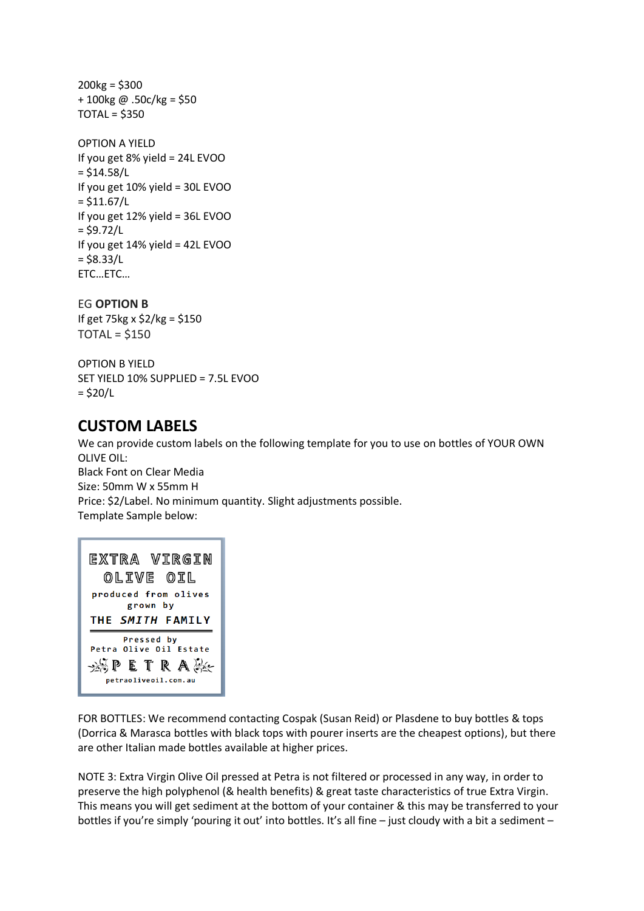$200kg = $300$ + 100kg @ .50c/kg = \$50 TOTAL = \$350

```
OPTION A YIELD
If you get 8% yield = 24L EVOO
= $14.58/LIf you get 10% yield = 30L EVOO
= $11.67/LIf you get 12% yield = 36L EVOO
= $9.72/LIf you get 14% yield = 42L EVOO
= $8.33/L
ETC…ETC…
```
EG **OPTION B**

If get 75kg x \$2/kg = \$150  $TOTAL = $150$ 

OPTION B YIELD SET YIELD 10% SUPPLIED = 7.5L EVOO  $=$  \$20/L

### **CUSTOM LABELS**

We can provide custom labels on the following template for you to use on bottles of YOUR OWN OLIVE OIL: Black Font on Clear Media

Size: 50mm W x 55mm H Price: \$2/Label. No minimum quantity. Slight adjustments possible. Template Sample below:

| EXTRA VIRGIN<br>OLIVE OIL                                                             |
|---------------------------------------------------------------------------------------|
| produced from olives<br>grown by                                                      |
| THE SMITH FAMILY                                                                      |
| Pressed by<br>Petra Olive Oil Estate<br>$\mathscr{B}$ petrak-<br>petraoliveoil.com.au |

FOR BOTTLES: We recommend contacting Cospak (Susan Reid) or Plasdene to buy bottles & tops (Dorrica & Marasca bottles with black tops with pourer inserts are the cheapest options), but there are other Italian made bottles available at higher prices.

NOTE 3: Extra Virgin Olive Oil pressed at Petra is not filtered or processed in any way, in order to preserve the high polyphenol (& health benefits) & great taste characteristics of true Extra Virgin. This means you will get sediment at the bottom of your container & this may be transferred to your bottles if you're simply 'pouring it out' into bottles. It's all fine - just cloudy with a bit a sediment -